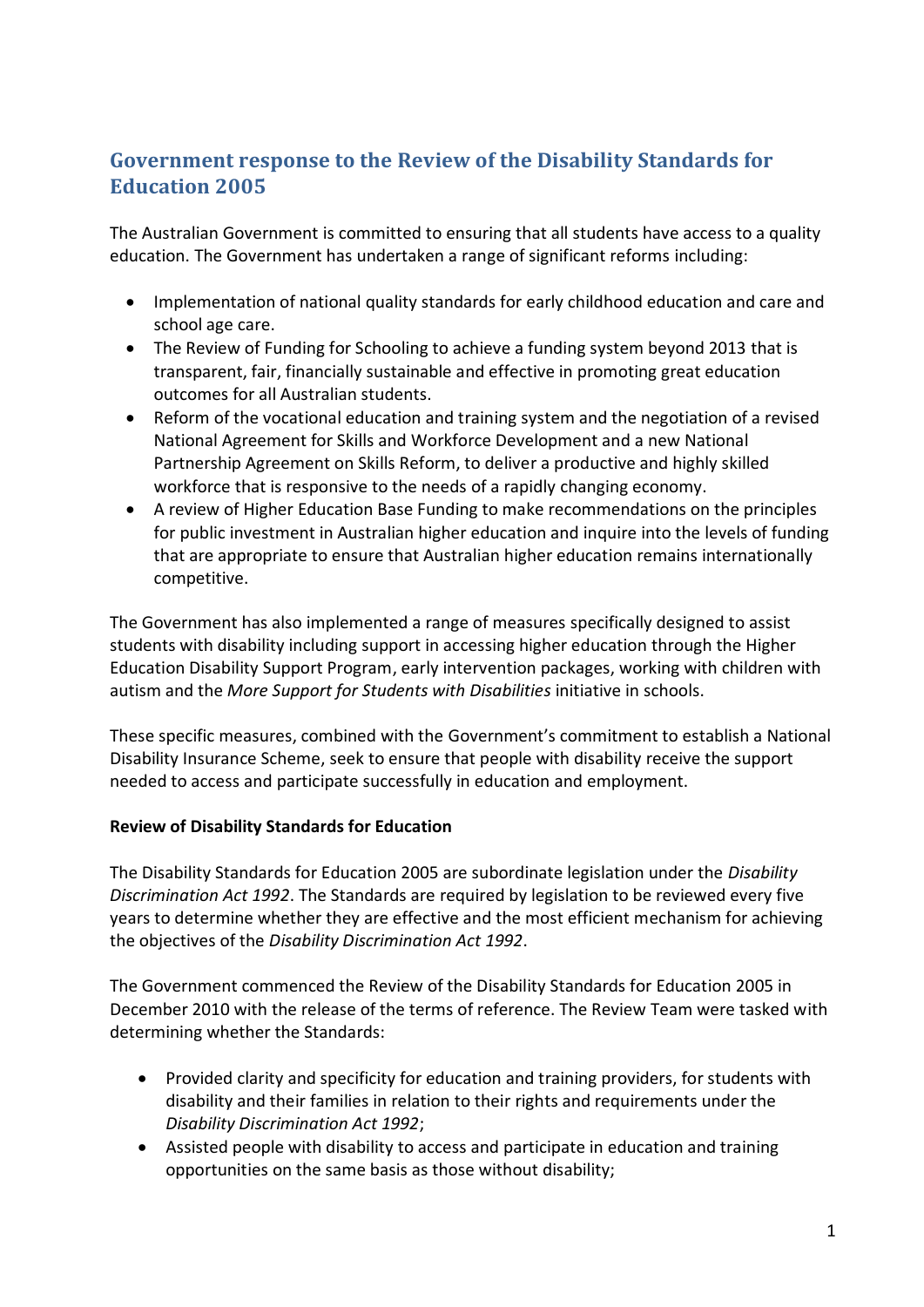# **Government response to the Review of the Disability Standards for Education 2005**

The Australian Government is committed to ensuring that all students have access to a quality education. The Government has undertaken a range of significant reforms including:

- Implementation of national quality standards for early childhood education and care and school age care.
- The Review of Funding for Schooling to achieve a funding system beyond 2013 that is transparent, fair, financially sustainable and effective in promoting great education outcomes for all Australian students.
- Reform of the vocational education and training system and the negotiation of a revised National Agreement for Skills and Workforce Development and a new National Partnership Agreement on Skills Reform, to deliver a productive and highly skilled workforce that is responsive to the needs of a rapidly changing economy.
- A review of Higher Education Base Funding to make recommendations on the principles for public investment in Australian higher education and inquire into the levels of funding that are appropriate to ensure that Australian higher education remains internationally competitive.

The Government has also implemented a range of measures specifically designed to assist students with disability including support in accessing higher education through the Higher Education Disability Support Program, early intervention packages, working with children with autism and the *More Support for Students with Disabilities* initiative in schools.

These specific measures, combined with the Government's commitment to establish a National Disability Insurance Scheme, seek to ensure that people with disability receive the support needed to access and participate successfully in education and employment.

## **Review of Disability Standards for Education**

The Disability Standards for Education 2005 are subordinate legislation under the *Disability Discrimination Act 1992*. The Standards are required by legislation to be reviewed every five years to determine whether they are effective and the most efficient mechanism for achieving the objectives of the *Disability Discrimination Act 1992*.

The Government commenced the Review of the Disability Standards for Education 2005 in December 2010 with the release of the terms of reference. The Review Team were tasked with determining whether the Standards:

- Provided clarity and specificity for education and training providers, for students with disability and their families in relation to their rights and requirements under the *Disability Discrimination Act 1992*;
- Assisted people with disability to access and participate in education and training opportunities on the same basis as those without disability;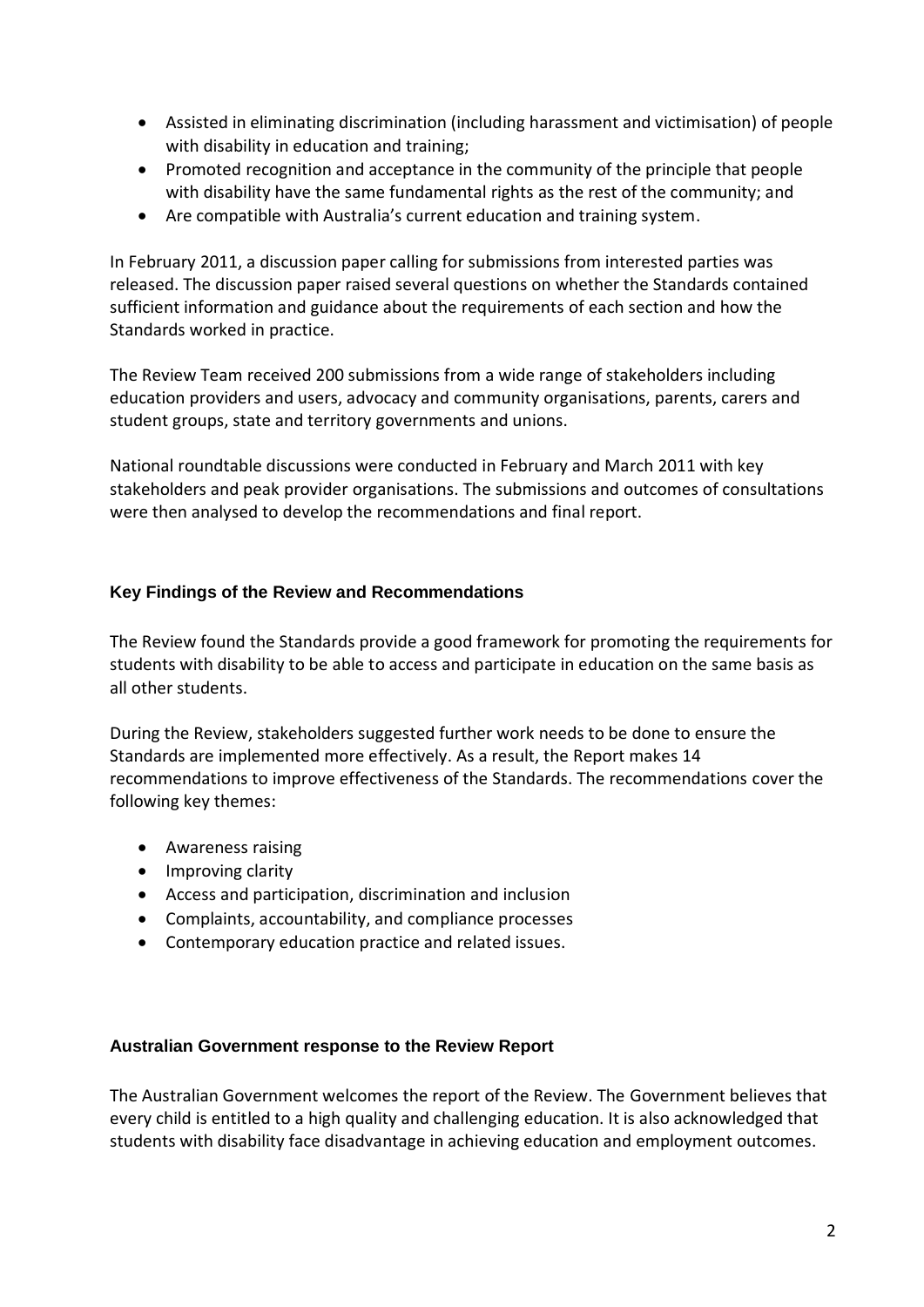- Assisted in eliminating discrimination (including harassment and victimisation) of people with disability in education and training;
- Promoted recognition and acceptance in the community of the principle that people with disability have the same fundamental rights as the rest of the community; and
- Are compatible with Australia's current education and training system.

In February 2011, a discussion paper calling for submissions from interested parties was released. The discussion paper raised several questions on whether the Standards contained sufficient information and guidance about the requirements of each section and how the Standards worked in practice.

The Review Team received 200 submissions from a wide range of stakeholders including education providers and users, advocacy and community organisations, parents, carers and student groups, state and territory governments and unions.

National roundtable discussions were conducted in February and March 2011 with key stakeholders and peak provider organisations. The submissions and outcomes of consultations were then analysed to develop the recommendations and final report.

## **Key Findings of the Review and Recommendations**

The Review found the Standards provide a good framework for promoting the requirements for students with disability to be able to access and participate in education on the same basis as all other students.

During the Review, stakeholders suggested further work needs to be done to ensure the Standards are implemented more effectively. As a result, the Report makes 14 recommendations to improve effectiveness of the Standards. The recommendations cover the following key themes:

- Awareness raising
- Improving clarity
- Access and participation, discrimination and inclusion
- Complaints, accountability, and compliance processes
- Contemporary education practice and related issues.

#### **Australian Government response to the Review Report**

The Australian Government welcomes the report of the Review. The Government believes that every child is entitled to a high quality and challenging education. It is also acknowledged that students with disability face disadvantage in achieving education and employment outcomes.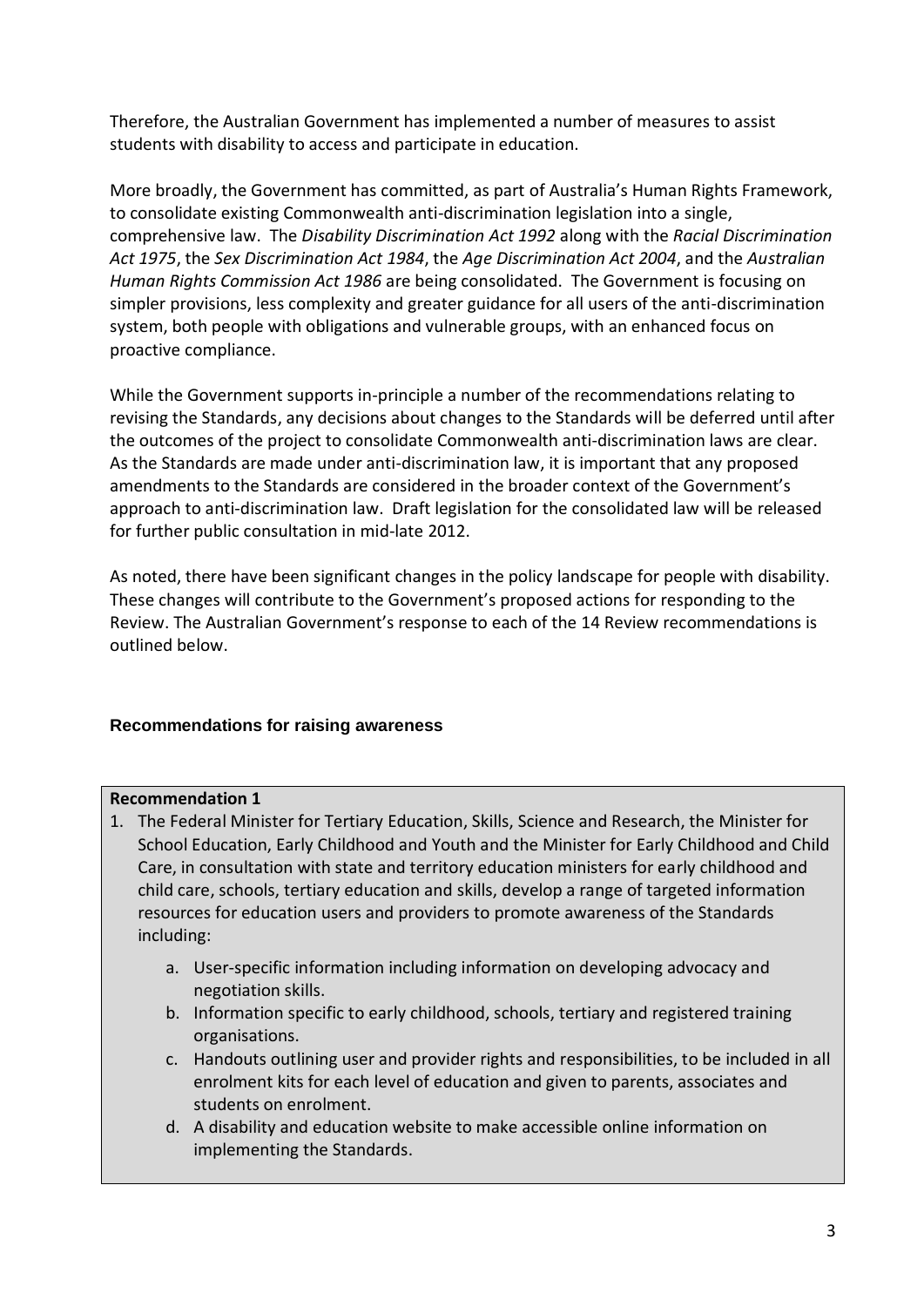Therefore, the Australian Government has implemented a number of measures to assist students with disability to access and participate in education.

More broadly, the Government has committed, as part of Australia's Human Rights Framework, to consolidate existing Commonwealth anti-discrimination legislation into a single, comprehensive law. The *Disability Discrimination Act 1992* along with the *Racial Discrimination Act 1975*, the *Sex Discrimination Act 1984*, the *Age Discrimination Act 2004*, and the *Australian Human Rights Commission Act 1986* are being consolidated. The Government is focusing on simpler provisions, less complexity and greater guidance for all users of the anti-discrimination system, both people with obligations and vulnerable groups, with an enhanced focus on proactive compliance.

While the Government supports in-principle a number of the recommendations relating to revising the Standards, any decisions about changes to the Standards will be deferred until after the outcomes of the project to consolidate Commonwealth anti-discrimination laws are clear. As the Standards are made under anti-discrimination law, it is important that any proposed amendments to the Standards are considered in the broader context of the Government's approach to anti-discrimination law. Draft legislation for the consolidated law will be released for further public consultation in mid-late 2012.

As noted, there have been significant changes in the policy landscape for people with disability. These changes will contribute to the Government's proposed actions for responding to the Review. The Australian Government's response to each of the 14 Review recommendations is outlined below.

## **Recommendations for raising awareness**

## **Recommendation 1**

- 1. The Federal Minister for Tertiary Education, Skills, Science and Research, the Minister for School Education, Early Childhood and Youth and the Minister for Early Childhood and Child Care, in consultation with state and territory education ministers for early childhood and child care, schools, tertiary education and skills, develop a range of targeted information resources for education users and providers to promote awareness of the Standards including:
	- a. User-specific information including information on developing advocacy and negotiation skills.
	- b. Information specific to early childhood, schools, tertiary and registered training organisations.
	- c. Handouts outlining user and provider rights and responsibilities, to be included in all enrolment kits for each level of education and given to parents, associates and students on enrolment.
	- d. A disability and education website to make accessible online information on implementing the Standards.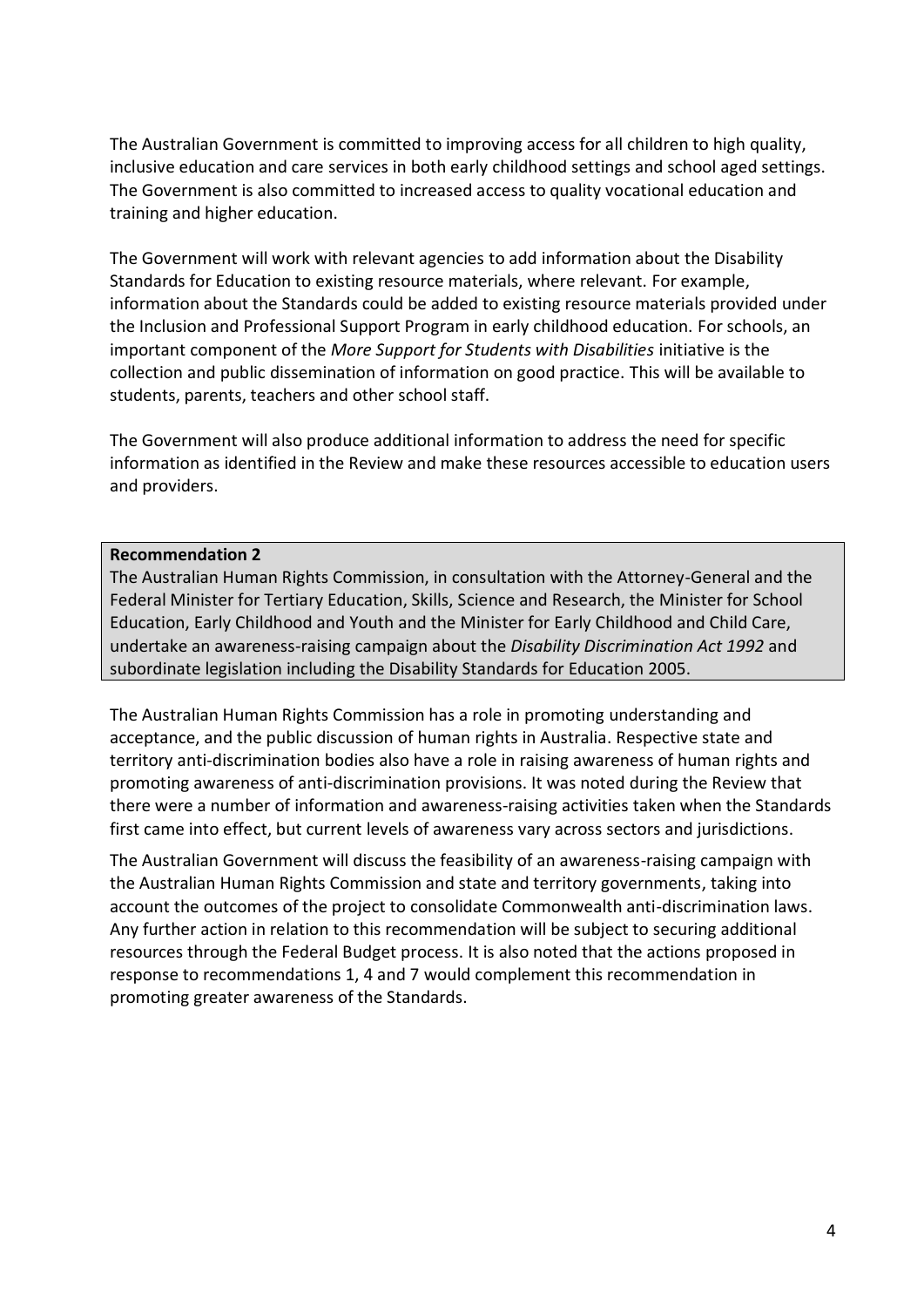The Australian Government is committed to improving access for all children to high quality, inclusive education and care services in both early childhood settings and school aged settings. The Government is also committed to increased access to quality vocational education and training and higher education.

The Government will work with relevant agencies to add information about the Disability Standards for Education to existing resource materials, where relevant. For example, information about the Standards could be added to existing resource materials provided under the Inclusion and Professional Support Program in early childhood education. For schools, an important component of the *More Support for Students with Disabilities* initiative is the collection and public dissemination of information on good practice. This will be available to students, parents, teachers and other school staff.

The Government will also produce additional information to address the need for specific information as identified in the Review and make these resources accessible to education users and providers.

#### **Recommendation 2**

The Australian Human Rights Commission, in consultation with the Attorney-General and the Federal Minister for Tertiary Education, Skills, Science and Research, the Minister for School Education, Early Childhood and Youth and the Minister for Early Childhood and Child Care, undertake an awareness-raising campaign about the *Disability Discrimination Act 1992* and subordinate legislation including the Disability Standards for Education 2005.

The Australian Human Rights Commission has a role in promoting understanding and acceptance, and the public discussion of human rights in Australia. Respective state and territory anti-discrimination bodies also have a role in raising awareness of human rights and promoting awareness of anti-discrimination provisions. It was noted during the Review that there were a number of information and awareness-raising activities taken when the Standards first came into effect, but current levels of awareness vary across sectors and jurisdictions.

The Australian Government will discuss the feasibility of an awareness-raising campaign with the Australian Human Rights Commission and state and territory governments, taking into account the outcomes of the project to consolidate Commonwealth anti-discrimination laws. Any further action in relation to this recommendation will be subject to securing additional resources through the Federal Budget process. It is also noted that the actions proposed in response to recommendations 1, 4 and 7 would complement this recommendation in promoting greater awareness of the Standards.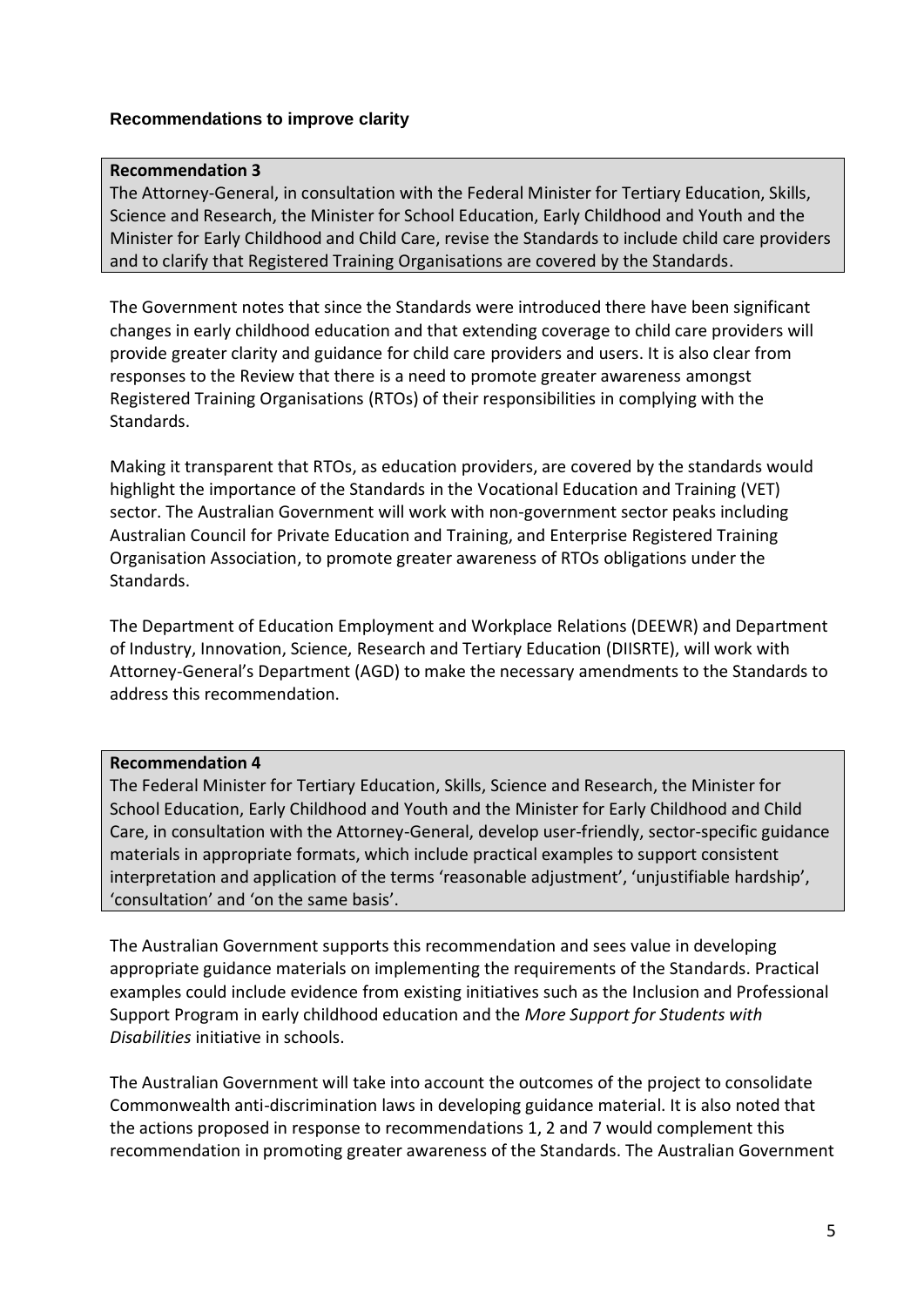## **Recommendations to improve clarity**

#### **Recommendation 3**

The Attorney-General, in consultation with the Federal Minister for Tertiary Education, Skills, Science and Research, the Minister for School Education, Early Childhood and Youth and the Minister for Early Childhood and Child Care, revise the Standards to include child care providers and to clarify that Registered Training Organisations are covered by the Standards.

The Government notes that since the Standards were introduced there have been significant changes in early childhood education and that extending coverage to child care providers will provide greater clarity and guidance for child care providers and users. It is also clear from responses to the Review that there is a need to promote greater awareness amongst Registered Training Organisations (RTOs) of their responsibilities in complying with the Standards.

Making it transparent that RTOs, as education providers, are covered by the standards would highlight the importance of the Standards in the Vocational Education and Training (VET) sector. The Australian Government will work with non-government sector peaks including Australian Council for Private Education and Training, and Enterprise Registered Training Organisation Association, to promote greater awareness of RTOs obligations under the Standards.

The Department of Education Employment and Workplace Relations (DEEWR) and Department of Industry, Innovation, Science, Research and Tertiary Education (DIISRTE), will work with Attorney-General's Department (AGD) to make the necessary amendments to the Standards to address this recommendation.

#### **Recommendation 4**

The Federal Minister for Tertiary Education, Skills, Science and Research, the Minister for School Education, Early Childhood and Youth and the Minister for Early Childhood and Child Care, in consultation with the Attorney-General, develop user-friendly, sector-specific guidance materials in appropriate formats, which include practical examples to support consistent interpretation and application of the terms 'reasonable adjustment', 'unjustifiable hardship', 'consultation' and 'on the same basis'.

The Australian Government supports this recommendation and sees value in developing appropriate guidance materials on implementing the requirements of the Standards. Practical examples could include evidence from existing initiatives such as the Inclusion and Professional Support Program in early childhood education and the *More Support for Students with Disabilities* initiative in schools.

The Australian Government will take into account the outcomes of the project to consolidate Commonwealth anti-discrimination laws in developing guidance material. It is also noted that the actions proposed in response to recommendations 1, 2 and 7 would complement this recommendation in promoting greater awareness of the Standards. The Australian Government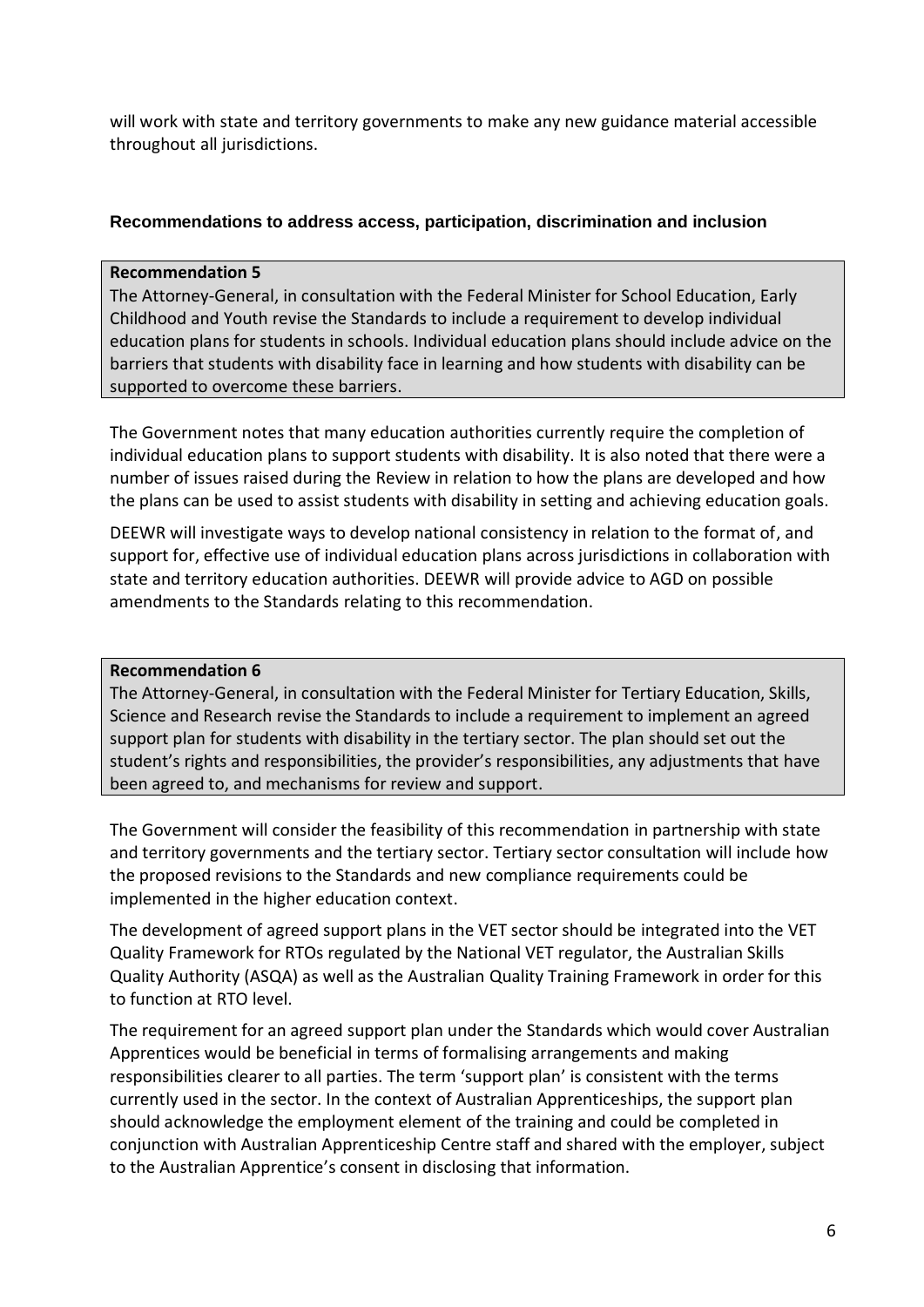will work with state and territory governments to make any new guidance material accessible throughout all jurisdictions.

#### **Recommendations to address access, participation, discrimination and inclusion**

#### **Recommendation 5**

The Attorney-General, in consultation with the Federal Minister for School Education, Early Childhood and Youth revise the Standards to include a requirement to develop individual education plans for students in schools. Individual education plans should include advice on the barriers that students with disability face in learning and how students with disability can be supported to overcome these barriers.

The Government notes that many education authorities currently require the completion of individual education plans to support students with disability. It is also noted that there were a number of issues raised during the Review in relation to how the plans are developed and how the plans can be used to assist students with disability in setting and achieving education goals.

DEEWR will investigate ways to develop national consistency in relation to the format of, and support for, effective use of individual education plans across jurisdictions in collaboration with state and territory education authorities. DEEWR will provide advice to AGD on possible amendments to the Standards relating to this recommendation.

#### **Recommendation 6**

The Attorney-General, in consultation with the Federal Minister for Tertiary Education, Skills, Science and Research revise the Standards to include a requirement to implement an agreed support plan for students with disability in the tertiary sector. The plan should set out the student's rights and responsibilities, the provider's responsibilities, any adjustments that have been agreed to, and mechanisms for review and support.

The Government will consider the feasibility of this recommendation in partnership with state and territory governments and the tertiary sector. Tertiary sector consultation will include how the proposed revisions to the Standards and new compliance requirements could be implemented in the higher education context.

The development of agreed support plans in the VET sector should be integrated into the VET Quality Framework for RTOs regulated by the National VET regulator, the Australian Skills Quality Authority (ASQA) as well as the Australian Quality Training Framework in order for this to function at RTO level.

The requirement for an agreed support plan under the Standards which would cover Australian Apprentices would be beneficial in terms of formalising arrangements and making responsibilities clearer to all parties. The term 'support plan' is consistent with the terms currently used in the sector. In the context of Australian Apprenticeships, the support plan should acknowledge the employment element of the training and could be completed in conjunction with Australian Apprenticeship Centre staff and shared with the employer, subject to the Australian Apprentice's consent in disclosing that information.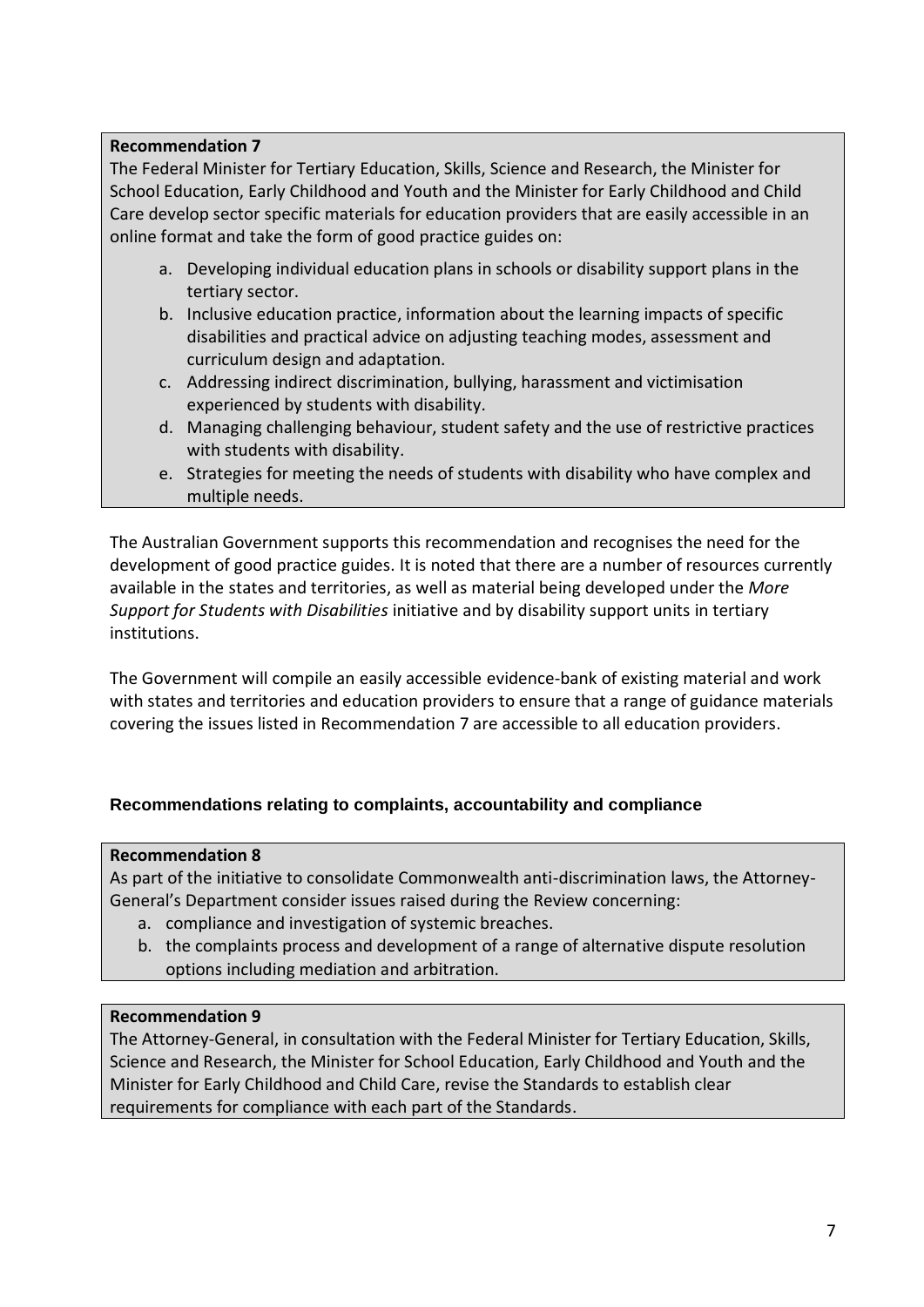#### **Recommendation 7**

The Federal Minister for Tertiary Education, Skills, Science and Research, the Minister for School Education, Early Childhood and Youth and the Minister for Early Childhood and Child Care develop sector specific materials for education providers that are easily accessible in an online format and take the form of good practice guides on:

- a. Developing individual education plans in schools or disability support plans in the tertiary sector.
- b. Inclusive education practice, information about the learning impacts of specific disabilities and practical advice on adjusting teaching modes, assessment and curriculum design and adaptation.
- c. Addressing indirect discrimination, bullying, harassment and victimisation experienced by students with disability.
- d. Managing challenging behaviour, student safety and the use of restrictive practices with students with disability.
- e. Strategies for meeting the needs of students with disability who have complex and multiple needs.

The Australian Government supports this recommendation and recognises the need for the development of good practice guides. It is noted that there are a number of resources currently available in the states and territories, as well as material being developed under the *More Support for Students with Disabilities* initiative and by disability support units in tertiary institutions.

The Government will compile an easily accessible evidence-bank of existing material and work with states and territories and education providers to ensure that a range of guidance materials covering the issues listed in Recommendation 7 are accessible to all education providers.

## **Recommendations relating to complaints, accountability and compliance**

## **Recommendation 8**

As part of the initiative to consolidate Commonwealth anti-discrimination laws, the Attorney-General's Department consider issues raised during the Review concerning:

- a. compliance and investigation of systemic breaches.
- b. the complaints process and development of a range of alternative dispute resolution options including mediation and arbitration.

#### **Recommendation 9**

The Attorney-General, in consultation with the Federal Minister for Tertiary Education, Skills, Science and Research, the Minister for School Education, Early Childhood and Youth and the Minister for Early Childhood and Child Care, revise the Standards to establish clear requirements for compliance with each part of the Standards.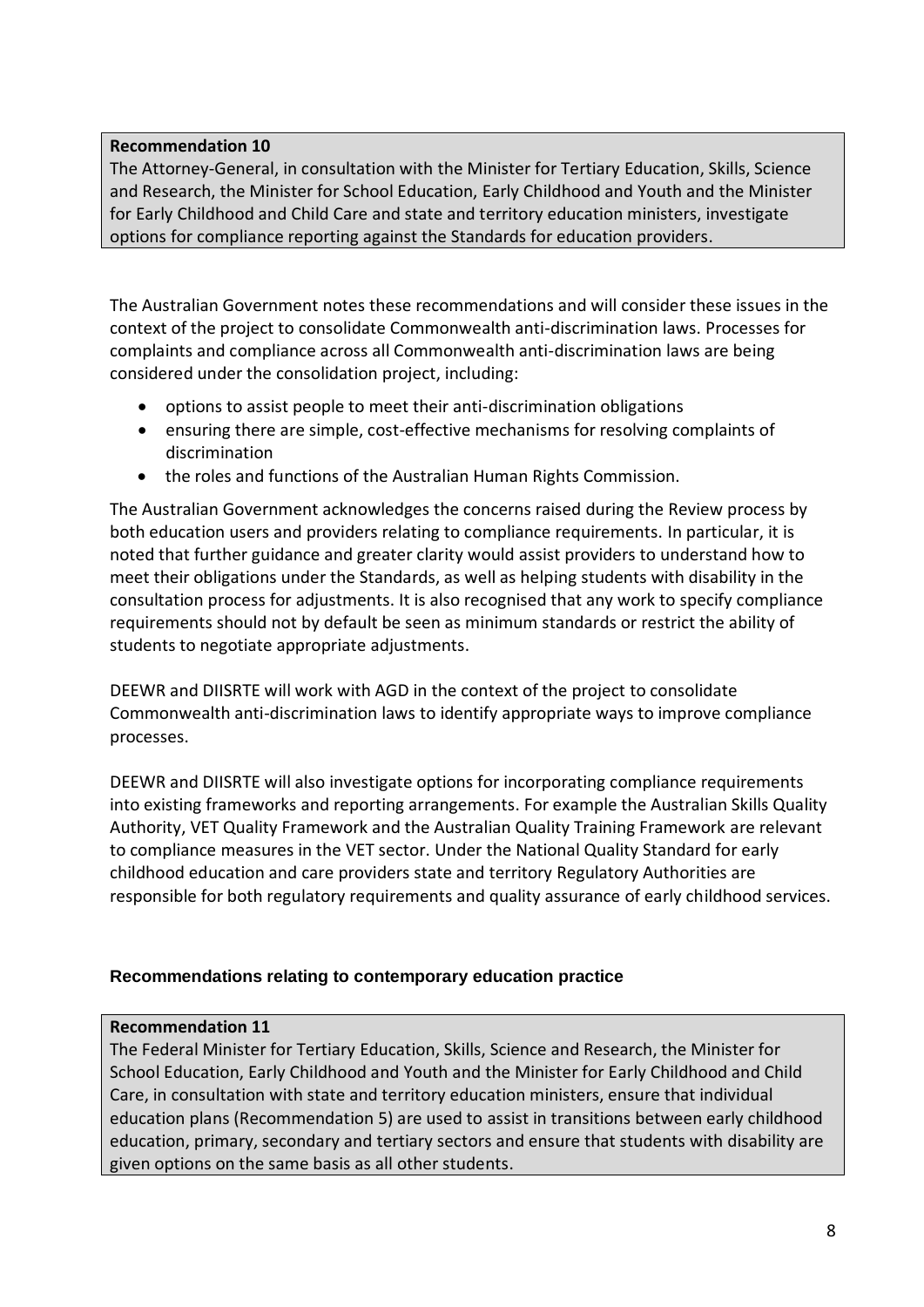#### **Recommendation 10**

The Attorney-General, in consultation with the Minister for Tertiary Education, Skills, Science and Research, the Minister for School Education, Early Childhood and Youth and the Minister for Early Childhood and Child Care and state and territory education ministers, investigate options for compliance reporting against the Standards for education providers.

The Australian Government notes these recommendations and will consider these issues in the context of the project to consolidate Commonwealth anti-discrimination laws. Processes for complaints and compliance across all Commonwealth anti-discrimination laws are being considered under the consolidation project, including:

- options to assist people to meet their anti-discrimination obligations
- ensuring there are simple, cost-effective mechanisms for resolving complaints of discrimination
- the roles and functions of the Australian Human Rights Commission.

The Australian Government acknowledges the concerns raised during the Review process by both education users and providers relating to compliance requirements. In particular, it is noted that further guidance and greater clarity would assist providers to understand how to meet their obligations under the Standards, as well as helping students with disability in the consultation process for adjustments. It is also recognised that any work to specify compliance requirements should not by default be seen as minimum standards or restrict the ability of students to negotiate appropriate adjustments.

DEEWR and DIISRTE will work with AGD in the context of the project to consolidate Commonwealth anti-discrimination laws to identify appropriate ways to improve compliance processes.

DEEWR and DIISRTE will also investigate options for incorporating compliance requirements into existing frameworks and reporting arrangements. For example the Australian Skills Quality Authority, VET Quality Framework and the Australian Quality Training Framework are relevant to compliance measures in the VET sector. Under the National Quality Standard for early childhood education and care providers state and territory Regulatory Authorities are responsible for both regulatory requirements and quality assurance of early childhood services.

## **Recommendations relating to contemporary education practice**

## **Recommendation 11**

The Federal Minister for Tertiary Education, Skills, Science and Research, the Minister for School Education, Early Childhood and Youth and the Minister for Early Childhood and Child Care, in consultation with state and territory education ministers, ensure that individual education plans (Recommendation 5) are used to assist in transitions between early childhood education, primary, secondary and tertiary sectors and ensure that students with disability are given options on the same basis as all other students.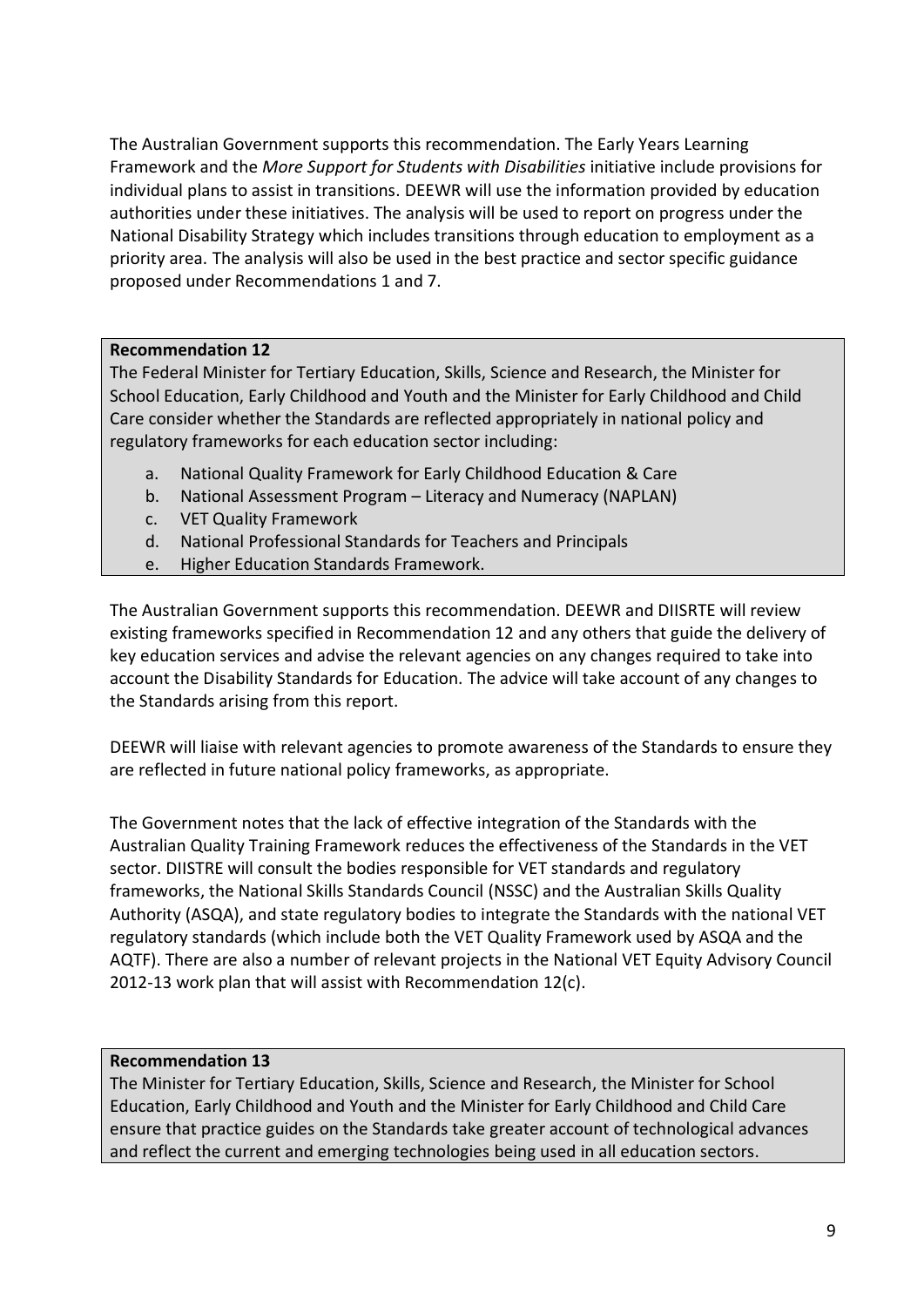The Australian Government supports this recommendation. The Early Years Learning Framework and the *More Support for Students with Disabilities* initiative include provisions for individual plans to assist in transitions. DEEWR will use the information provided by education authorities under these initiatives. The analysis will be used to report on progress under the National Disability Strategy which includes transitions through education to employment as a priority area. The analysis will also be used in the best practice and sector specific guidance proposed under Recommendations 1 and 7.

## **Recommendation 12**

The Federal Minister for Tertiary Education, Skills, Science and Research, the Minister for School Education, Early Childhood and Youth and the Minister for Early Childhood and Child Care consider whether the Standards are reflected appropriately in national policy and regulatory frameworks for each education sector including:

- a. National Quality Framework for Early Childhood Education & Care
- b. National Assessment Program Literacy and Numeracy (NAPLAN)
- c. VET Quality Framework
- d. National Professional Standards for Teachers and Principals
- e. Higher Education Standards Framework.

The Australian Government supports this recommendation. DEEWR and DIISRTE will review existing frameworks specified in Recommendation 12 and any others that guide the delivery of key education services and advise the relevant agencies on any changes required to take into account the Disability Standards for Education. The advice will take account of any changes to the Standards arising from this report.

DEEWR will liaise with relevant agencies to promote awareness of the Standards to ensure they are reflected in future national policy frameworks, as appropriate.

The Government notes that the lack of effective integration of the Standards with the Australian Quality Training Framework reduces the effectiveness of the Standards in the VET sector. DIISTRE will consult the bodies responsible for VET standards and regulatory frameworks, the National Skills Standards Council (NSSC) and the Australian Skills Quality Authority (ASQA), and state regulatory bodies to integrate the Standards with the national VET regulatory standards (which include both the VET Quality Framework used by ASQA and the AQTF). There are also a number of relevant projects in the National VET Equity Advisory Council 2012-13 work plan that will assist with Recommendation 12(c).

#### **Recommendation 13**

The Minister for Tertiary Education, Skills, Science and Research, the Minister for School Education, Early Childhood and Youth and the Minister for Early Childhood and Child Care ensure that practice guides on the Standards take greater account of technological advances and reflect the current and emerging technologies being used in all education sectors.